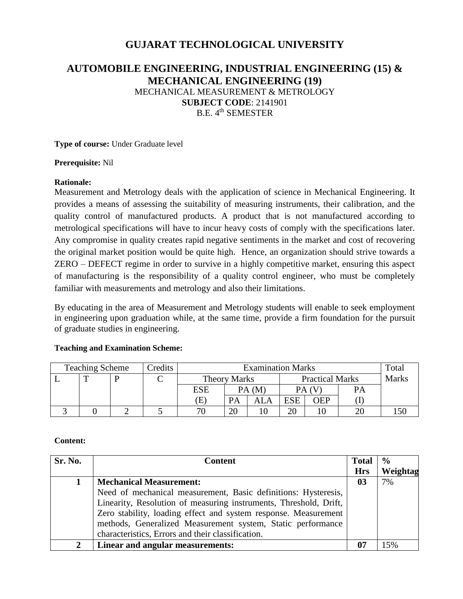# **GUJARAT TECHNOLOGICAL UNIVERSITY**

# **AUTOMOBILE ENGINEERING, INDUSTRIAL ENGINEERING (15) & MECHANICAL ENGINEERING (19)** MECHANICAL MEASUREMENT & METROLOGY **SUBJECT CODE**: 2141901 B.E. 4<sup>th</sup> SEMESTER

**Type of course:** Under Graduate level

**Prerequisite:** Nil

### **Rationale:**

Measurement and Metrology deals with the application of science in Mechanical Engineering. It provides a means of assessing the suitability of measuring instruments, their calibration, and the quality control of manufactured products. A product that is not manufactured according to metrological specifications will have to incur heavy costs of comply with the specifications later. Any compromise in quality creates rapid negative sentiments in the market and cost of recovering the original market position would be quite high. Hence, an organization should strive towards a ZERO – DEFECT regime in order to survive in a highly competitive market, ensuring this aspect of manufacturing is the responsibility of a quality control engineer, who must be completely familiar with measurements and metrology and also their limitations.

By educating in the area of Measurement and Metrology students will enable to seek employment in engineering upon graduation while, at the same time, provide a firm foundation for the pursuit of graduate studies in engineering.

## **Teaching and Examination Scheme:**

| <b>Teaching Scheme</b> |   | Credits | <b>Examination Marks</b> |                     |           |       |                        | Total      |              |     |
|------------------------|---|---------|--------------------------|---------------------|-----------|-------|------------------------|------------|--------------|-----|
|                        | m |         |                          | <b>Theory Marks</b> |           |       | <b>Practical Marks</b> |            | <b>Marks</b> |     |
|                        |   |         |                          | ESE                 |           | PA(M) |                        | PA (V      | <b>PA</b>    |     |
|                        |   |         |                          | Œ                   | <b>PA</b> | ALA   | <b>ESE</b>             | <b>JEP</b> |              |     |
|                        |   |         |                          | חר                  | ററ        |       |                        |            |              | .50 |

#### **Content:**

| Sr. No.       | <b>Content</b>                                                    | <b>Total</b> | $\frac{6}{6}$ |
|---------------|-------------------------------------------------------------------|--------------|---------------|
|               |                                                                   | <b>Hrs</b>   | Weightag      |
|               | <b>Mechanical Measurement:</b>                                    | 03           | 7%            |
|               | Need of mechanical measurement, Basic definitions: Hysteresis,    |              |               |
|               | Linearity, Resolution of measuring instruments, Threshold, Drift, |              |               |
|               | Zero stability, loading effect and system response. Measurement   |              |               |
|               | methods, Generalized Measurement system, Static performance       |              |               |
|               | characteristics, Errors and their classification.                 |              |               |
| $\mathcal{L}$ | Linear and angular measurements:                                  | 07           | 15%           |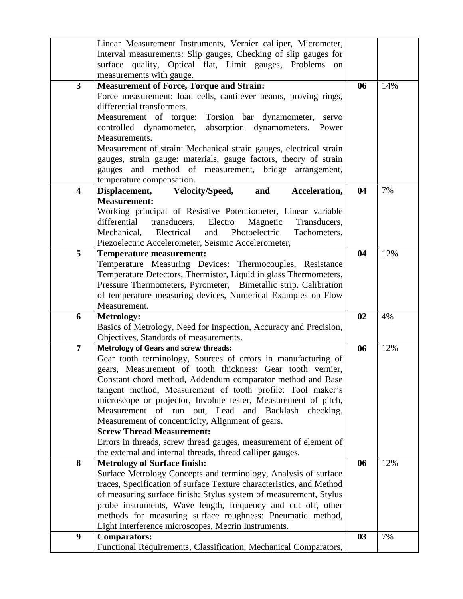|                         | Linear Measurement Instruments, Vernier calliper, Micrometer,                           |    |     |
|-------------------------|-----------------------------------------------------------------------------------------|----|-----|
|                         | Interval measurements: Slip gauges, Checking of slip gauges for                         |    |     |
|                         | surface quality, Optical flat, Limit gauges, Problems<br>on                             |    |     |
|                         | measurements with gauge.                                                                |    |     |
| $\overline{\mathbf{3}}$ | <b>Measurement of Force, Torque and Strain:</b>                                         | 06 | 14% |
|                         | Force measurement: load cells, cantilever beams, proving rings,                         |    |     |
|                         | differential transformers.                                                              |    |     |
|                         | Measurement of torque: Torsion bar dynamometer,<br>servo                                |    |     |
|                         | controlled dynamometer, absorption dynamometers.<br>Power                               |    |     |
|                         | Measurements.                                                                           |    |     |
|                         | Measurement of strain: Mechanical strain gauges, electrical strain                      |    |     |
|                         | gauges, strain gauge: materials, gauge factors, theory of strain                        |    |     |
|                         | gauges and method of measurement, bridge arrangement,                                   |    |     |
|                         | temperature compensation.                                                               |    |     |
| $\overline{\mathbf{4}}$ | Displacement, Velocity/Speed,<br>and<br>Acceleration,                                   | 04 | 7%  |
|                         | <b>Measurement:</b>                                                                     |    |     |
|                         | Working principal of Resistive Potentiometer, Linear variable                           |    |     |
|                         | differential<br>transducers,<br>Electro<br>Transducers,<br>Magnetic                     |    |     |
|                         | Electrical<br>and<br>Photoelectric<br>Mechanical,<br>Tachometers,                       |    |     |
|                         | Piezoelectric Accelerometer, Seismic Accelerometer,                                     |    |     |
| 5                       | <b>Temperature measurement:</b>                                                         | 04 | 12% |
|                         | Temperature Measuring Devices: Thermocouples, Resistance                                |    |     |
|                         | Temperature Detectors, Thermistor, Liquid in glass Thermometers,                        |    |     |
|                         | Pressure Thermometers, Pyrometer, Bimetallic strip. Calibration                         |    |     |
|                         | of temperature measuring devices, Numerical Examples on Flow                            |    |     |
|                         | Measurement.                                                                            |    |     |
| 6                       | <b>Metrology:</b>                                                                       | 02 | 4%  |
|                         | Basics of Metrology, Need for Inspection, Accuracy and Precision,                       |    |     |
|                         | Objectives, Standards of measurements.                                                  |    |     |
| $\overline{7}$          | <b>Metrology of Gears and screw threads:</b>                                            | 06 | 12% |
|                         | Gear tooth terminology, Sources of errors in manufacturing of                           |    |     |
|                         | gears, Measurement of tooth thickness: Gear tooth vernier,                              |    |     |
|                         | Constant chord method, Addendum comparator method and Base                              |    |     |
|                         | tangent method, Measurement of tooth profile: Tool maker's                              |    |     |
|                         | microscope or projector, Involute tester, Measurement of pitch,                         |    |     |
|                         | Measurement of run out, Lead and Backlash checking.                                     |    |     |
|                         | Measurement of concentricity, Alignment of gears.                                       |    |     |
|                         | <b>Screw Thread Measurement:</b>                                                        |    |     |
|                         | Errors in threads, screw thread gauges, measurement of element of                       |    |     |
|                         | the external and internal threads, thread calliper gauges.                              |    |     |
| 8                       | <b>Metrology of Surface finish:</b>                                                     | 06 | 12% |
|                         | Surface Metrology Concepts and terminology, Analysis of surface                         |    |     |
|                         | traces, Specification of surface Texture characteristics, and Method                    |    |     |
|                         | of measuring surface finish: Stylus system of measurement, Stylus                       |    |     |
|                         | probe instruments, Wave length, frequency and cut off, other                            |    |     |
|                         | methods for measuring surface roughness: Pneumatic method,                              |    |     |
| $\boldsymbol{9}$        | Light Interference microscopes, Mecrin Instruments.                                     | 03 | 7%  |
|                         | <b>Comparators:</b><br>Functional Requirements, Classification, Mechanical Comparators, |    |     |
|                         |                                                                                         |    |     |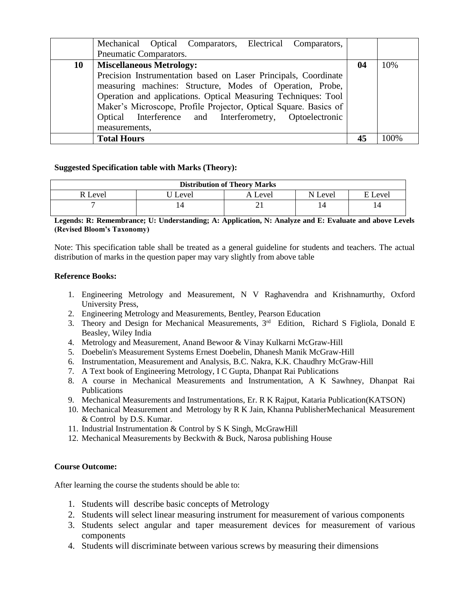|    | Mechanical Optical Comparators, Electrical Comparators,<br>Pneumatic Comparators.                                                                                                                                                                                                                                                              |    |        |
|----|------------------------------------------------------------------------------------------------------------------------------------------------------------------------------------------------------------------------------------------------------------------------------------------------------------------------------------------------|----|--------|
|    |                                                                                                                                                                                                                                                                                                                                                |    |        |
| 10 | <b>Miscellaneous Metrology:</b>                                                                                                                                                                                                                                                                                                                | 04 | 10%    |
|    | Precision Instrumentation based on Laser Principals, Coordinate<br>measuring machines: Structure, Modes of Operation, Probe,<br>Operation and applications. Optical Measuring Techniques: Tool<br>Maker's Microscope, Profile Projector, Optical Square. Basics of<br>Optical Interference and Interferometry, Optoelectronic<br>measurements, |    |        |
|    | <b>Total Hours</b>                                                                                                                                                                                                                                                                                                                             |    | $00\%$ |

#### **Suggested Specification table with Marks (Theory):**

| <b>Distribution of Theory Marks</b> |       |       |            |         |  |  |
|-------------------------------------|-------|-------|------------|---------|--|--|
| ! Level                             | Level | Level | N<br>Level | E Level |  |  |
|                                     |       |       |            | 14      |  |  |

### **Legends: R: Remembrance; U: Understanding; A: Application, N: Analyze and E: Evaluate and above Levels (Revised Bloom's Taxonomy)**

Note: This specification table shall be treated as a general guideline for students and teachers. The actual distribution of marks in the question paper may vary slightly from above table

#### **Reference Books:**

- 1. Engineering Metrology and Measurement, N V Raghavendra and Krishnamurthy, Oxford University Press,
- 2. Engineering Metrology and Measurements, Bentley, Pearson Education
- 3. Theory and Design for Mechanical Measurements,  $3<sup>rd</sup>$  Edition, Richard S Figliola, Donald E Beasley, Wiley India
- 4. Metrology and Measurement, Anand Bewoor & Vinay Kulkarni McGraw-Hill
- 5. Doebelin's Measurement Systems Ernest Doebelin, Dhanesh Manik McGraw-Hill
- 6. Instrumentation, Measurement and Analysis, B.C. Nakra, K.K. Chaudhry McGraw-Hill
- 7. A Text book of Engineering Metrology, I C Gupta, Dhanpat Rai Publications
- 8. A course in Mechanical Measurements and Instrumentation, A K Sawhney, Dhanpat Rai Publications
- 9. Mechanical Measurements and Instrumentations, Er. R K Rajput, Kataria Publication(KATSON)
- 10. Mechanical Measurement and Metrology by R K Jain, Khanna PublisherMechanical Measurement & Control by D.S. Kumar.
- 11. Industrial Instrumentation & Control by S K Singh, McGrawHill
- 12. Mechanical Measurements by Beckwith & Buck, Narosa publishing House

#### **Course Outcome:**

After learning the course the students should be able to:

- 1. Students will describe basic concepts of Metrology
- 2. Students will select linear measuring instrument for measurement of various components
- 3. Students select angular and taper measurement devices for measurement of various components
- 4. Students will discriminate between various screws by measuring their dimensions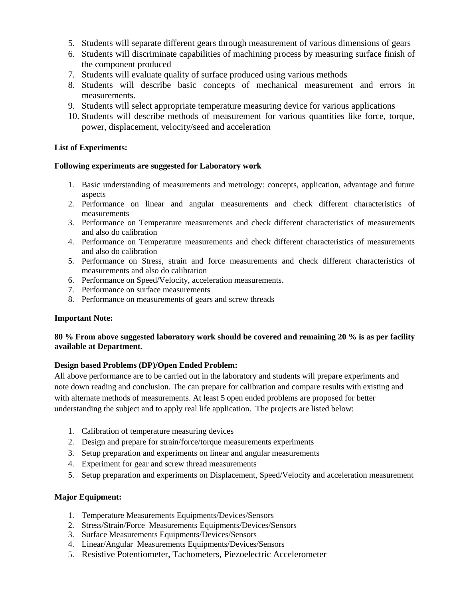- 5. Students will separate different gears through measurement of various dimensions of gears
- 6. Students will discriminate capabilities of machining process by measuring surface finish of the component produced
- 7. Students will evaluate quality of surface produced using various methods
- 8. Students will describe basic concepts of mechanical measurement and errors in measurements.
- 9. Students will select appropriate temperature measuring device for various applications
- 10. Students will describe methods of measurement for various quantities like force, torque, power, displacement, velocity/seed and acceleration

### **List of Experiments:**

#### **Following experiments are suggested for Laboratory work**

- 1. Basic understanding of measurements and metrology: concepts, application, advantage and future aspects
- 2. Performance on linear and angular measurements and check different characteristics of measurements
- 3. Performance on Temperature measurements and check different characteristics of measurements and also do calibration
- 4. Performance on Temperature measurements and check different characteristics of measurements and also do calibration
- 5. Performance on Stress, strain and force measurements and check different characteristics of measurements and also do calibration
- 6. Performance on Speed/Velocity, acceleration measurements.
- 7. Performance on surface measurements
- 8. Performance on measurements of gears and screw threads

#### **Important Note:**

### **80 % From above suggested laboratory work should be covered and remaining 20 % is as per facility available at Department.**

#### **Design based Problems (DP)/Open Ended Problem:**

All above performance are to be carried out in the laboratory and students will prepare experiments and note down reading and conclusion. The can prepare for calibration and compare results with existing and with alternate methods of measurements. At least 5 open ended problems are proposed for better understanding the subject and to apply real life application. The projects are listed below:

- 1. Calibration of temperature measuring devices
- 2. Design and prepare for strain/force/torque measurements experiments
- 3. Setup preparation and experiments on linear and angular measurements
- 4. Experiment for gear and screw thread measurements
- 5. Setup preparation and experiments on Displacement, Speed/Velocity and acceleration measurement

## **Major Equipment:**

- 1. Temperature Measurements Equipments/Devices/Sensors
- 2. Stress/Strain/Force Measurements Equipments/Devices/Sensors
- 3. Surface Measurements Equipments/Devices/Sensors
- 4. Linear/Angular Measurements Equipments/Devices/Sensors
- 5. Resistive Potentiometer, Tachometers, Piezoelectric Accelerometer